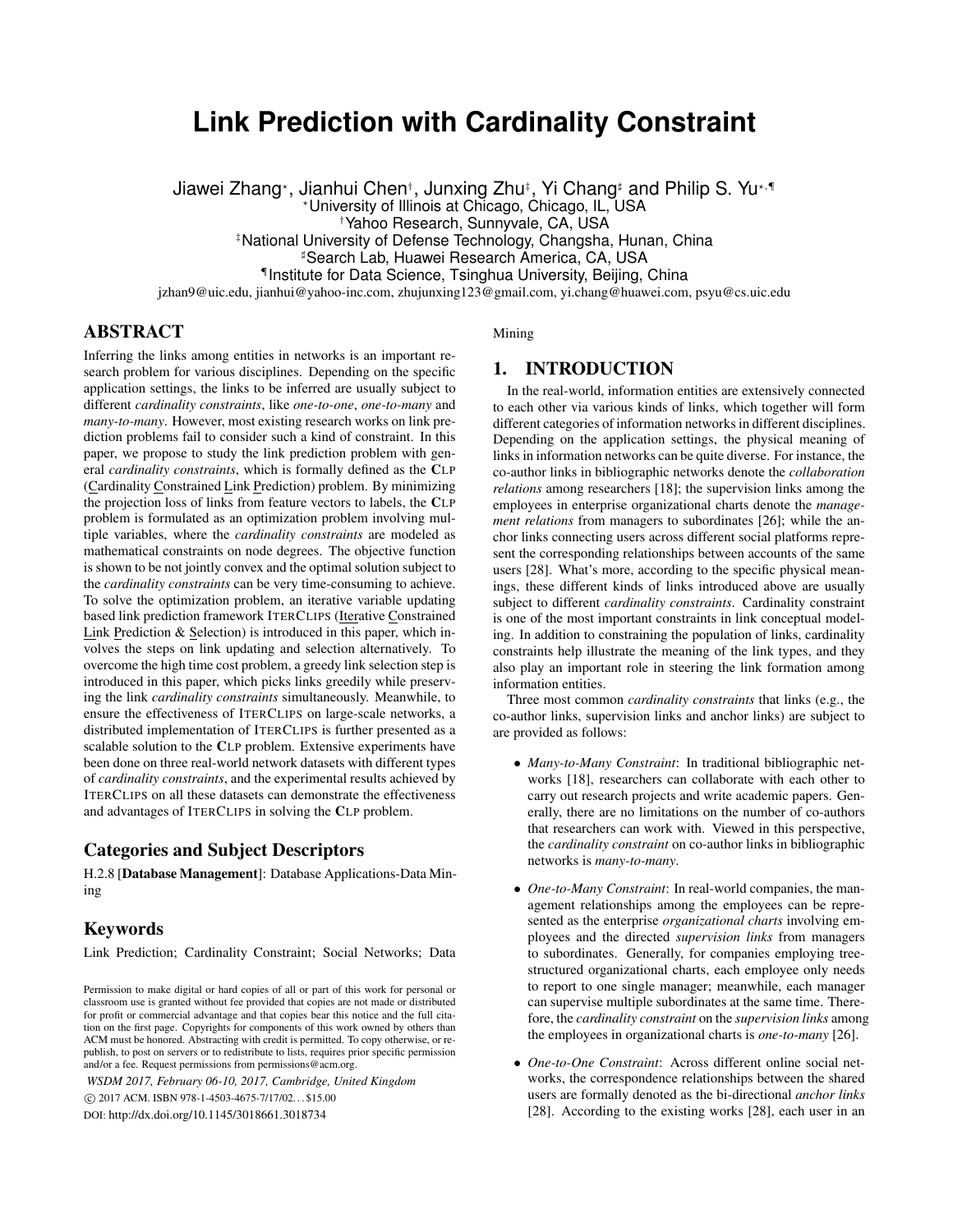# **Link Prediction with Cardinality Constraint**

Jiawei Zhang\*, Jianhui Chen†, Junxing Zhu‡, Yi Chang‡ and Philip S. Yu\*,¶

?University of Illinois at Chicago, Chicago, IL, USA

†Yahoo Research, Sunnyvale, CA, USA

‡National University of Defense Technology, Changsha, Hunan, China

]Search Lab, Huawei Research America, CA, USA

¶ Institute for Data Science, Tsinghua University, Beijing, China

jzhan9@uic.edu, jianhui@yahoo-inc.com, zhujunxing123@gmail.com, yi.chang@huawei.com, psyu@cs.uic.edu

# ABSTRACT

Inferring the links among entities in networks is an important research problem for various disciplines. Depending on the specific application settings, the links to be inferred are usually subject to different *cardinality constraints*, like *one-to-one*, *one-to-many* and *many-to-many*. However, most existing research works on link prediction problems fail to consider such a kind of constraint. In this paper, we propose to study the link prediction problem with general *cardinality constraints*, which is formally defined as the CLP (Cardinality Constrained Link Prediction) problem. By minimizing the projection loss of links from feature vectors to labels, the CLP problem is formulated as an optimization problem involving multiple variables, where the *cardinality constraints* are modeled as mathematical constraints on node degrees. The objective function is shown to be not jointly convex and the optimal solution subject to the *cardinality constraints* can be very time-consuming to achieve. To solve the optimization problem, an iterative variable updating based link prediction framework ITERCLIPS (Iterative Constrained Link Prediction & Selection) is introduced in this paper, which involves the steps on link updating and selection alternatively. To overcome the high time cost problem, a greedy link selection step is introduced in this paper, which picks links greedily while preserving the link *cardinality constraints* simultaneously. Meanwhile, to ensure the effectiveness of ITERCLIPS on large-scale networks, a distributed implementation of ITERCLIPS is further presented as a scalable solution to the CLP problem. Extensive experiments have been done on three real-world network datasets with different types of *cardinality constraints*, and the experimental results achieved by ITERCLIPS on all these datasets can demonstrate the effectiveness and advantages of ITERCLIPS in solving the CLP problem.

# Categories and Subject Descriptors

H.2.8 [Database Management]: Database Applications-Data Mining

# Keywords

Link Prediction; Cardinality Constraint; Social Networks; Data

*WSDM 2017, February 06-10, 2017, Cambridge, United Kingdom*

c 2017 ACM. ISBN 978-1-4503-4675-7/17/02. . . \$15.00

DOI: http://dx.doi.org/10.1145/3018661.3018734

Mining

## 1. INTRODUCTION

In the real-world, information entities are extensively connected to each other via various kinds of links, which together will form different categories of information networks in different disciplines. Depending on the application settings, the physical meaning of links in information networks can be quite diverse. For instance, the co-author links in bibliographic networks denote the *collaboration relations* among researchers [18]; the supervision links among the employees in enterprise organizational charts denote the *management relations* from managers to subordinates [26]; while the anchor links connecting users across different social platforms represent the corresponding relationships between accounts of the same users [28]. What's more, according to the specific physical meanings, these different kinds of links introduced above are usually subject to different *cardinality constraints*. Cardinality constraint is one of the most important constraints in link conceptual modeling. In addition to constraining the population of links, cardinality constraints help illustrate the meaning of the link types, and they also play an important role in steering the link formation among information entities.

Three most common *cardinality constraints* that links (e.g., the co-author links, supervision links and anchor links) are subject to are provided as follows:

- *Many-to-Many Constraint*: In traditional bibliographic networks [18], researchers can collaborate with each other to carry out research projects and write academic papers. Generally, there are no limitations on the number of co-authors that researchers can work with. Viewed in this perspective, the *cardinality constraint* on co-author links in bibliographic networks is *many-to-many*.
- *One-to-Many Constraint*: In real-world companies, the management relationships among the employees can be represented as the enterprise *organizational charts* involving employees and the directed *supervision links* from managers to subordinates. Generally, for companies employing treestructured organizational charts, each employee only needs to report to one single manager; meanwhile, each manager can supervise multiple subordinates at the same time. Therefore, the *cardinality constraint* on the *supervision links* among the employees in organizational charts is *one-to-many* [26].
- *One-to-One Constraint*: Across different online social networks, the correspondence relationships between the shared users are formally denoted as the bi-directional *anchor links* [28]. According to the existing works [28], each user in an

Permission to make digital or hard copies of all or part of this work for personal or classroom use is granted without fee provided that copies are not made or distributed for profit or commercial advantage and that copies bear this notice and the full citation on the first page. Copyrights for components of this work owned by others than ACM must be honored. Abstracting with credit is permitted. To copy otherwise, or republish, to post on servers or to redistribute to lists, requires prior specific permission and/or a fee. Request permissions from permissions@acm.org.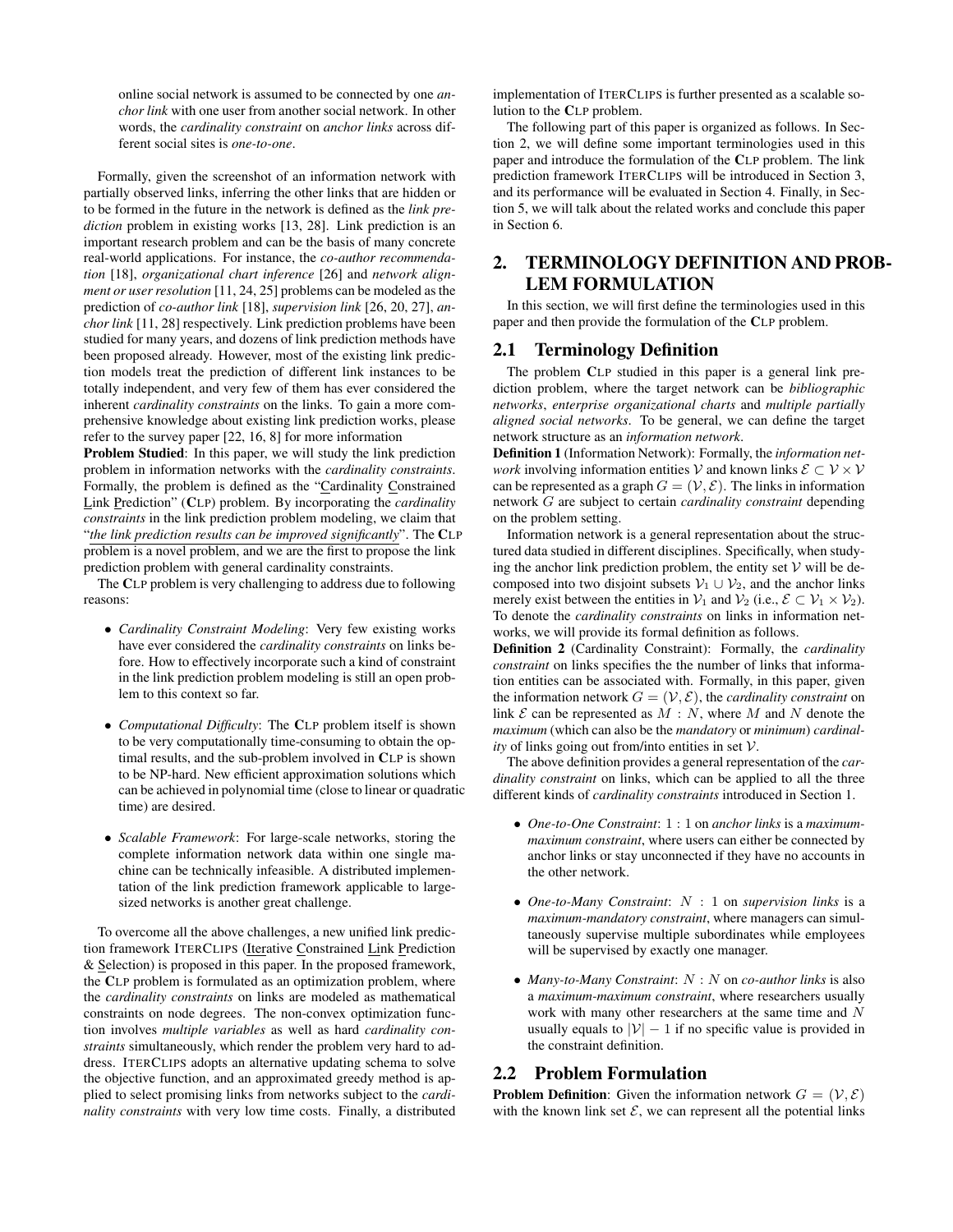online social network is assumed to be connected by one *anchor link* with one user from another social network. In other words, the *cardinality constraint* on *anchor links* across different social sites is *one-to-one*.

Formally, given the screenshot of an information network with partially observed links, inferring the other links that are hidden or to be formed in the future in the network is defined as the *link prediction* problem in existing works [13, 28]. Link prediction is an important research problem and can be the basis of many concrete real-world applications. For instance, the *co-author recommendation* [18], *organizational chart inference* [26] and *network alignment or user resolution* [11, 24, 25] problems can be modeled as the prediction of *co-author link* [18], *supervision link* [26, 20, 27], *anchor link* [11, 28] respectively. Link prediction problems have been studied for many years, and dozens of link prediction methods have been proposed already. However, most of the existing link prediction models treat the prediction of different link instances to be totally independent, and very few of them has ever considered the inherent *cardinality constraints* on the links. To gain a more comprehensive knowledge about existing link prediction works, please refer to the survey paper [22, 16, 8] for more information

Problem Studied: In this paper, we will study the link prediction problem in information networks with the *cardinality constraints*. Formally, the problem is defined as the "Cardinality Constrained Link Prediction" (CLP) problem. By incorporating the *cardinality constraints* in the link prediction problem modeling, we claim that "*the link prediction results can be improved significantly*". The CLP problem is a novel problem, and we are the first to propose the link prediction problem with general cardinality constraints.

The CLP problem is very challenging to address due to following reasons:

- *Cardinality Constraint Modeling*: Very few existing works have ever considered the *cardinality constraints* on links before. How to effectively incorporate such a kind of constraint in the link prediction problem modeling is still an open problem to this context so far.
- *Computational Difficulty*: The CLP problem itself is shown to be very computationally time-consuming to obtain the optimal results, and the sub-problem involved in CLP is shown to be NP-hard. New efficient approximation solutions which can be achieved in polynomial time (close to linear or quadratic time) are desired.
- *Scalable Framework*: For large-scale networks, storing the complete information network data within one single machine can be technically infeasible. A distributed implementation of the link prediction framework applicable to largesized networks is another great challenge.

To overcome all the above challenges, a new unified link prediction framework ITERCLIPS (Iterative Constrained Link Prediction & Selection) is proposed in this paper. In the proposed framework, the CLP problem is formulated as an optimization problem, where the *cardinality constraints* on links are modeled as mathematical constraints on node degrees. The non-convex optimization function involves *multiple variables* as well as hard *cardinality constraints* simultaneously, which render the problem very hard to address. ITERCLIPS adopts an alternative updating schema to solve the objective function, and an approximated greedy method is applied to select promising links from networks subject to the *cardinality constraints* with very low time costs. Finally, a distributed

implementation of ITERCLIPS is further presented as a scalable solution to the CLP problem.

The following part of this paper is organized as follows. In Section 2, we will define some important terminologies used in this paper and introduce the formulation of the CLP problem. The link prediction framework ITERCLIPS will be introduced in Section 3, and its performance will be evaluated in Section 4. Finally, in Section 5, we will talk about the related works and conclude this paper in Section 6.

# 2. TERMINOLOGY DEFINITION AND PROB-LEM FORMULATION

In this section, we will first define the terminologies used in this paper and then provide the formulation of the CLP problem.

# 2.1 Terminology Definition

The problem CLP studied in this paper is a general link prediction problem, where the target network can be *bibliographic networks*, *enterprise organizational charts* and *multiple partially aligned social networks*. To be general, we can define the target network structure as an *information network*.

Definition 1 (Information Network): Formally, the *information network* involving information entities  $V$  and known links  $\mathcal{E} \subset V \times V$ can be represented as a graph  $G = (\mathcal{V}, \mathcal{E})$ . The links in information network G are subject to certain *cardinality constraint* depending on the problem setting.

Information network is a general representation about the structured data studied in different disciplines. Specifically, when studying the anchor link prediction problem, the entity set  $V$  will be decomposed into two disjoint subsets  $V_1 \cup V_2$ , and the anchor links merely exist between the entities in  $\mathcal{V}_1$  and  $\mathcal{V}_2$  (i.e.,  $\mathcal{E} \subset \mathcal{V}_1 \times \mathcal{V}_2$ ). To denote the *cardinality constraints* on links in information networks, we will provide its formal definition as follows.

Definition 2 (Cardinality Constraint): Formally, the *cardinality constraint* on links specifies the the number of links that information entities can be associated with. Formally, in this paper, given the information network  $G = (\mathcal{V}, \mathcal{E})$ , the *cardinality constraint* on link  $\mathcal E$  can be represented as  $M : N$ , where M and N denote the *maximum* (which can also be the *mandatory* or *minimum*) *cardinality* of links going out from/into entities in set  $V$ .

The above definition provides a general representation of the *cardinality constraint* on links, which can be applied to all the three different kinds of *cardinality constraints* introduced in Section 1.

- *One-to-One Constraint*: 1 : 1 on *anchor links* is a *maximummaximum constraint*, where users can either be connected by anchor links or stay unconnected if they have no accounts in the other network.
- *One-to-Many Constraint*: N : 1 on *supervision links* is a *maximum-mandatory constraint*, where managers can simultaneously supervise multiple subordinates while employees will be supervised by exactly one manager.
- *Many-to-Many Constraint*:  $N : N$  on *co-author links* is also a *maximum-maximum constraint*, where researchers usually work with many other researchers at the same time and N usually equals to  $|V| - 1$  if no specific value is provided in the constraint definition.

# 2.2 Problem Formulation

**Problem Definition:** Given the information network  $G = (\mathcal{V}, \mathcal{E})$ with the known link set  $\mathcal{E}$ , we can represent all the potential links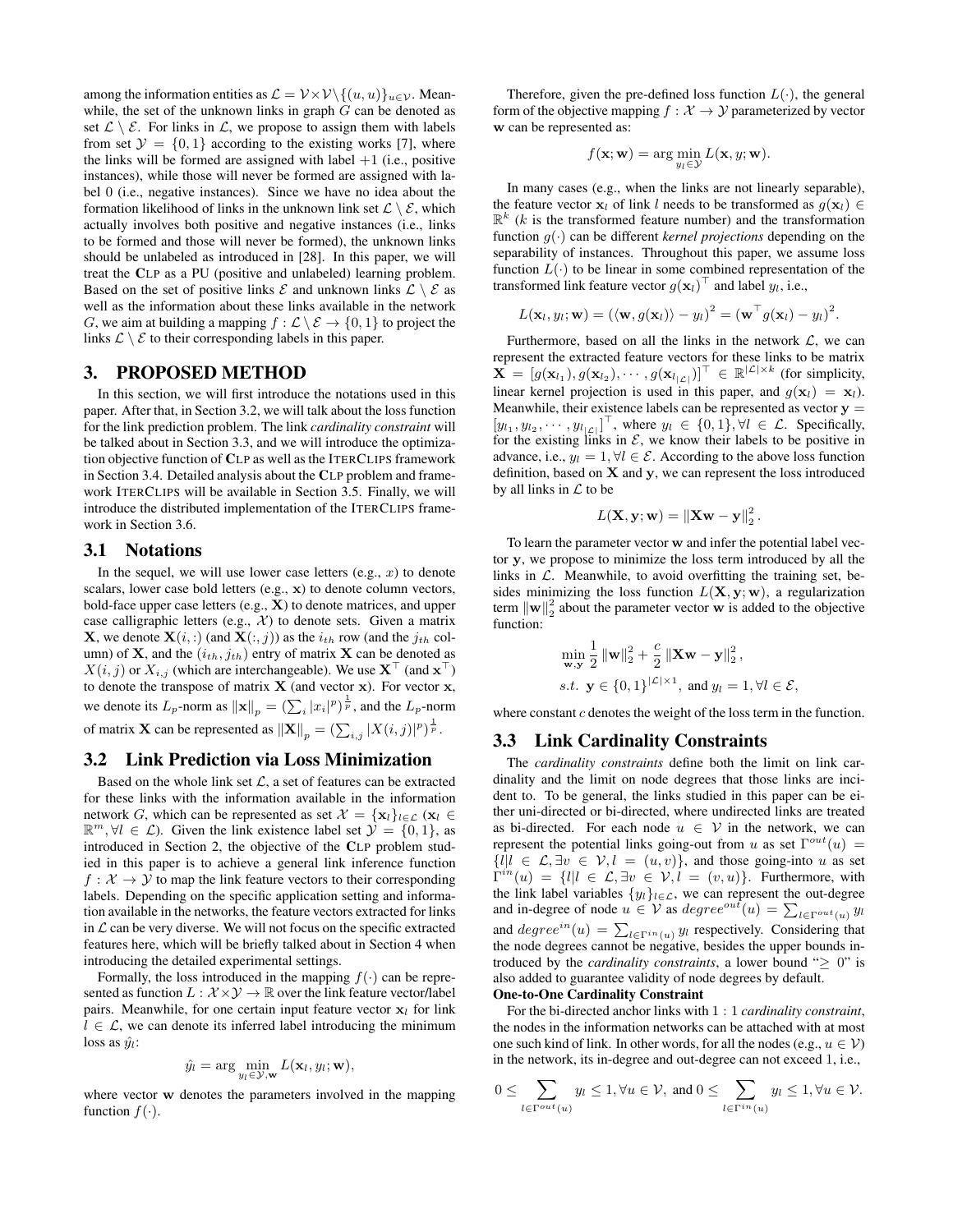among the information entities as  $\mathcal{L} = \mathcal{V} \times \mathcal{V} \setminus \{(u, u)\}_{u \in \mathcal{V}}$ . Meanwhile, the set of the unknown links in graph  $G$  can be denoted as set  $\mathcal{L} \setminus \mathcal{E}$ . For links in  $\mathcal{L}$ , we propose to assign them with labels from set  $\mathcal{Y} = \{0, 1\}$  according to the existing works [7], where the links will be formed are assigned with label  $+1$  (i.e., positive instances), while those will never be formed are assigned with label 0 (i.e., negative instances). Since we have no idea about the formation likelihood of links in the unknown link set  $\mathcal{L} \setminus \mathcal{E}$ , which actually involves both positive and negative instances (i.e., links to be formed and those will never be formed), the unknown links should be unlabeled as introduced in [28]. In this paper, we will treat the CLP as a PU (positive and unlabeled) learning problem. Based on the set of positive links  $\mathcal E$  and unknown links  $\mathcal L \setminus \mathcal E$  as well as the information about these links available in the network G, we aim at building a mapping  $f : \mathcal{L} \setminus \mathcal{E} \to \{0, 1\}$  to project the links  $\mathcal{L} \setminus \mathcal{E}$  to their corresponding labels in this paper.

# 3. PROPOSED METHOD

In this section, we will first introduce the notations used in this paper. After that, in Section 3.2, we will talk about the loss function for the link prediction problem. The link *cardinality constraint* will be talked about in Section 3.3, and we will introduce the optimization objective function of CLP as well as the ITERCLIPS framework in Section 3.4. Detailed analysis about the CLP problem and framework ITERCLIPS will be available in Section 3.5. Finally, we will introduce the distributed implementation of the ITERCLIPS framework in Section 3.6.

### 3.1 Notations

In the sequel, we will use lower case letters  $(e.g., x)$  to denote scalars, lower case bold letters (e.g., x) to denote column vectors, bold-face upper case letters  $(e.g., X)$  to denote matrices, and upper case calligraphic letters (e.g.,  $X$ ) to denote sets. Given a matrix **X**, we denote  $\mathbf{X}(i,:)$  (and  $\mathbf{X}(:,j))$  as the  $i_{th}$  row (and the  $j_{th}$  column) of **X**, and the  $(i_{th}, j_{th})$  entry of matrix **X** can be denoted as  $X(i, j)$  or  $X_{i, j}$  (which are interchangeable). We use  $X^{\top}$  (and  $x^{\top}$ ) to denote the transpose of matrix  $X$  (and vector x). For vector x, we denote its  $L_p$ -norm as  $\|\mathbf{x}\|_p = (\sum_i |x_i|^p)^{\frac{1}{p}}$ , and the  $L_p$ -norm of matrix **X** can be represented as  $\|\mathbf{X}\|_p = \left(\sum_{i,j} |X(i,j)|^p\right)^{\frac{1}{p}}$ .

### 3.2 Link Prediction via Loss Minimization

Based on the whole link set  $\mathcal{L}$ , a set of features can be extracted for these links with the information available in the information network G, which can be represented as set  $\mathcal{X} = {\mathbf{x}_l}_{l \in \mathcal{L}} (\mathbf{x}_l \in$  $\mathbb{R}^m$ ,  $\forall l \in \mathcal{L}$ ). Given the link existence label set  $\mathcal{Y} = \{0, 1\}$ , as introduced in Section 2, the objective of the CLP problem studied in this paper is to achieve a general link inference function  $f: \mathcal{X} \to \mathcal{Y}$  to map the link feature vectors to their corresponding labels. Depending on the specific application setting and information available in the networks, the feature vectors extracted for links in  $\mathcal L$  can be very diverse. We will not focus on the specific extracted features here, which will be briefly talked about in Section 4 when introducing the detailed experimental settings.

Formally, the loss introduced in the mapping  $f(\cdot)$  can be represented as function  $L : \mathcal{X} \times \mathcal{Y} \rightarrow \mathbb{R}$  over the link feature vector/label pairs. Meanwhile, for one certain input feature vector  $x_l$  for link  $l \in \mathcal{L}$ , we can denote its inferred label introducing the minimum loss as  $\hat{y}_l$ :

$$
\hat{y}_l = \arg\min_{y_l \in \mathcal{Y}, \mathbf{w}} L(\mathbf{x}_l, y_l; \mathbf{w}),
$$

where vector w denotes the parameters involved in the mapping function  $f(\cdot)$ .

Therefore, given the pre-defined loss function  $L(\cdot)$ , the general form of the objective mapping  $f : \mathcal{X} \to \mathcal{Y}$  parameterized by vector w can be represented as:

$$
f(\mathbf{x}; \mathbf{w}) = \arg\min_{y_l \in \mathcal{Y}} L(\mathbf{x}, y; \mathbf{w}).
$$

In many cases (e.g., when the links are not linearly separable), the feature vector  $x_l$  of link l needs to be transformed as  $g(x_l) \in$  $\mathbb{R}^k$  (k is the transformed feature number) and the transformation function  $g(\cdot)$  can be different *kernel projections* depending on the separability of instances. Throughout this paper, we assume loss function  $L(\cdot)$  to be linear in some combined representation of the transformed link feature vector  $g(\mathbf{x}_l)^\top$  and label  $y_l$ , i.e.,

$$
L(\mathbf{x}_l, y_l; \mathbf{w}) = (\langle \mathbf{w}, g(\mathbf{x}_l) \rangle - y_l)^2 = (\mathbf{w}^\top g(\mathbf{x}_l) - y_l)^2.
$$

Furthermore, based on all the links in the network  $\mathcal{L}$ , we can represent the extracted feature vectors for these links to be matrix  $\overline{\mathbf{X}} = [g(\mathbf{x}_{l_1}), g(\mathbf{x}_{l_2}), \cdots, g(\mathbf{x}_{l_{|\mathcal{L}|}})]^\top \in \mathbb{R}^{|\mathcal{L}| \times k}$  (for simplicity, linear kernel projection is used in this paper, and  $g(\mathbf{x}_l) = \mathbf{x}_l$ . Meanwhile, their existence labels can be represented as vector  $y =$  $[y_{l_1}, y_{l_2}, \cdots, y_{l_{|\mathcal{L}|}}]^\top$ , where  $y_l \in \{0, 1\}$ ,  $\forall l \in \mathcal{L}$ . Specifically, for the existing links in  $\mathcal{E}$ , we know their labels to be positive in advance, i.e.,  $y_l = 1, \forall l \in \mathcal{E}$ . According to the above loss function definition, based on  $X$  and  $y$ , we can represent the loss introduced by all links in  $\mathcal L$  to be

$$
L(\mathbf{X}, \mathbf{y}; \mathbf{w}) = \|\mathbf{X}\mathbf{w} - \mathbf{y}\|_2^2.
$$

To learn the parameter vector w and infer the potential label vector y, we propose to minimize the loss term introduced by all the links in  $\mathcal{L}$ . Meanwhile, to avoid overfitting the training set, besides minimizing the loss function  $L(\mathbf{X}, \mathbf{y}; \mathbf{w})$ , a regularization term  $\|\mathbf{w}\|_2^2$  about the parameter vector w is added to the objective function:

$$
\min_{\mathbf{w}, \mathbf{y}} \frac{1}{2} ||\mathbf{w}||_2^2 + \frac{c}{2} ||\mathbf{X}\mathbf{w} - \mathbf{y}||_2^2,
$$
  
s.t.  $\mathbf{y} \in \{0, 1\}^{|\mathcal{L}| \times 1}$ , and  $y_l = 1, \forall l \in \mathcal{E}$ ,

where constant  $c$  denotes the weight of the loss term in the function.

### 3.3 Link Cardinality Constraints

The *cardinality constraints* define both the limit on link cardinality and the limit on node degrees that those links are incident to. To be general, the links studied in this paper can be either uni-directed or bi-directed, where undirected links are treated as bi-directed. For each node  $u \in V$  in the network, we can represent the potential links going-out from u as set  $\Gamma^{out}(u)$  =  ${l | l \in \mathcal{L}, \exists v \in \mathcal{V}, l = (u, v)}$ , and those going-into u as set  $\Gamma^{in}(u) = \{l | l \in \mathcal{L}, \exists v \in \mathcal{V}, l = (v, u)\}.$  Furthermore, with the link label variables  $\{y_l\}_{l \in \mathcal{L}}$ , we can represent the out-degree and in-degree of node  $u \in V$  as  $degree^{out}(u) = \sum_{l \in \Gamma^{out}(u)} y_l$ and  $degree^{in}(u) = \sum_{l \in \Gamma^{in}(u)} y_l$  respectively. Considering that the node degrees cannot be negative, besides the upper bounds introduced by the *cardinality constraints*, a lower bound " $\geq$  0" is also added to guarantee validity of node degrees by default. One-to-One Cardinality Constraint

For the bi-directed anchor links with 1 : 1 *cardinality constraint*, the nodes in the information networks can be attached with at most one such kind of link. In other words, for all the nodes (e.g.,  $u \in V$ ) in the network, its in-degree and out-degree can not exceed 1, i.e.,

$$
0\leq \sum_{l\in \Gamma^{out}(u)}y_l\leq 1, \forall u\in \mathcal{V}, \text{ and } 0\leq \sum_{l\in \Gamma^{in}(u)}y_l\leq 1, \forall u\in \mathcal{V}.
$$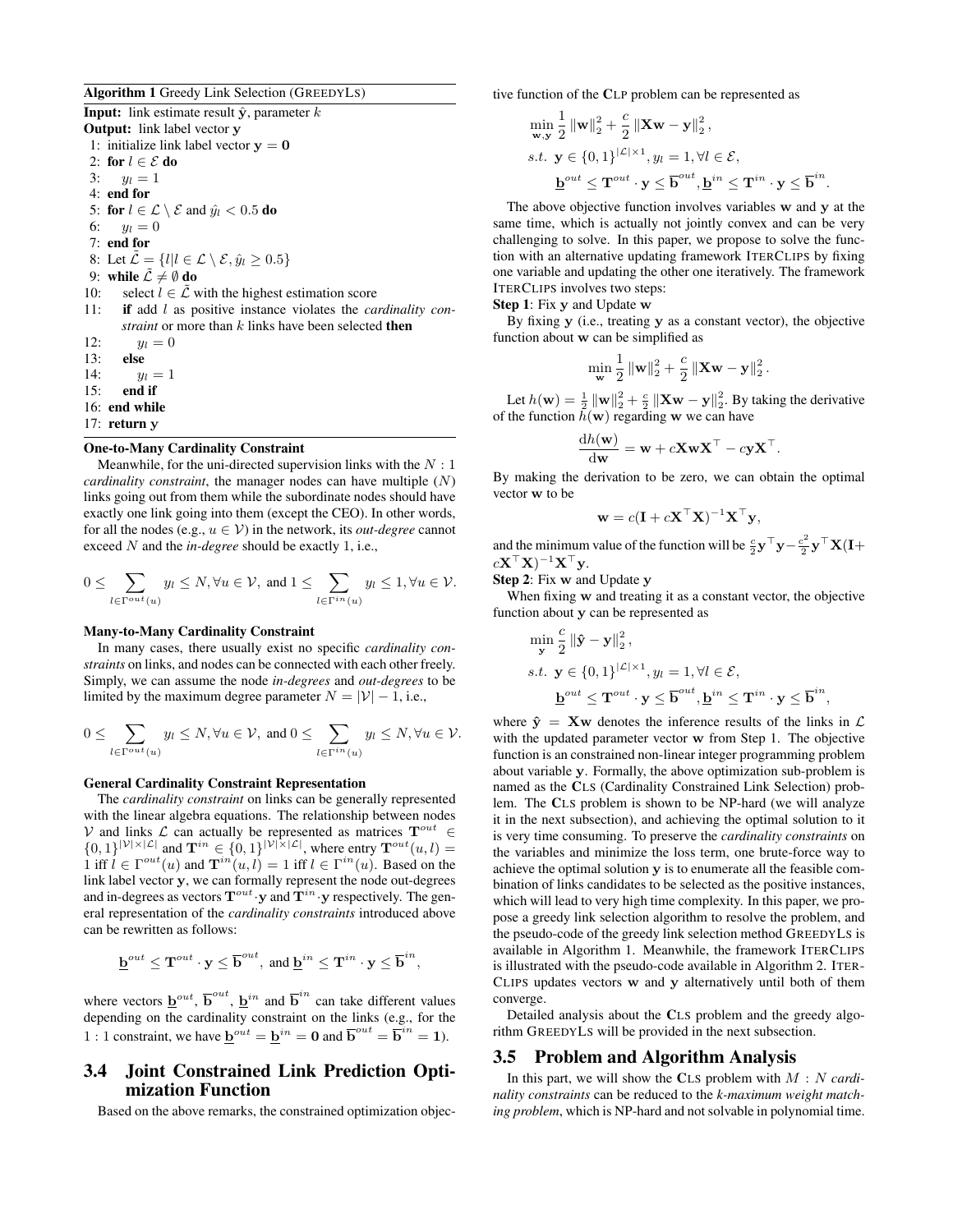#### Algorithm 1 Greedy Link Selection (GREEDYLS)

**Input:** link estimate result  $\hat{y}$ , parameter k Output: link label vector y 1: initialize link label vector  $y = 0$ 2: for  $l \in \mathcal{E}$  do 3:  $y_l = 1$ 4: end for 5: for  $l \in \mathcal{L} \setminus \mathcal{E}$  and  $\hat{y}_l < 0.5$  do 6:  $y_l = 0$ 7: end for 8: Let  $\tilde{\mathcal{L}} = \{l | l \in \mathcal{L} \setminus \mathcal{E}, \hat{y}_l \geq 0.5\}$ 9: while  $\tilde{\mathcal{L}} \neq \emptyset$  do 10: select  $l \in \tilde{\mathcal{L}}$  with the highest estimation score 11: if add l as positive instance violates the *cardinality constraint* or more than k links have been selected **then** 12:  $y_l = 0$ 13: **else**<br>14:  $u$  $y_l = 1$ 15: end if 16: end while 17: return y

#### One-to-Many Cardinality Constraint

Meanwhile, for the uni-directed supervision links with the  $N:1$ *cardinality constraint*, the manager nodes can have multiple (N) links going out from them while the subordinate nodes should have exactly one link going into them (except the CEO). In other words, for all the nodes (e.g.,  $u \in V$ ) in the network, its *out-degree* cannot exceed N and the *in-degree* should be exactly 1, i.e.,

$$
0\leq \sum_{l\in \Gamma^{out}(u)}y_l\leq N, \forall u\in\mathcal{V}, \text{ and } 1\leq \sum_{l\in \Gamma^{in}(u)}y_l\leq 1, \forall u\in\mathcal{V}.
$$

#### Many-to-Many Cardinality Constraint

In many cases, there usually exist no specific *cardinality constraints* on links, and nodes can be connected with each other freely. Simply, we can assume the node *in-degrees* and *out-degrees* to be limited by the maximum degree parameter  $N = |\mathcal{V}| - 1$ , i.e.,

$$
0 \leq \sum_{l \in \Gamma^{out}(u)} y_l \leq N, \forall u \in \mathcal{V}, \text{ and } 0 \leq \sum_{l \in \Gamma^{in}(u)} y_l \leq N, \forall u \in \mathcal{V}.
$$

#### General Cardinality Constraint Representation

The *cardinality constraint* on links can be generally represented with the linear algebra equations. The relationship between nodes V and links  $\mathcal L$  can actually be represented as matrices  $T^{out} \in$  $\{0,1\}^{|\mathcal{V}|\times|\mathcal{L}|}$  and  $\mathbf{T}^{in} \in \{0,1\}^{|\mathcal{V}|\times|\mathcal{L}|}$ , where entry  $\mathbf{T}^{out}(u,l)$ 1 iff  $l \in \Gamma^{out}(u)$  and  $\mathbf{T}^{in}(u, l) = 1$  iff  $l \in \Gamma^{in}(u)$ . Based on the link label vector y, we can formally represent the node out-degrees and in-degrees as vectors  $\mathbf{T}^{out} \cdot \mathbf{y}$  and  $\mathbf{T}^{in} \cdot \mathbf{y}$  respectively. The general representation of the *cardinality constraints* introduced above can be rewritten as follows:

$$
\underline{\mathbf{b}}^{out} \leq \mathbf{T}^{out} \cdot \mathbf{y} \leq \overline{\mathbf{b}}^{out}, \text{ and } \underline{\mathbf{b}}^{in} \leq \mathbf{T}^{in} \cdot \mathbf{y} \leq \overline{\mathbf{b}}^{in},
$$

where vectors  $\underline{\mathbf{b}}^{out}$ ,  $\overline{\mathbf{b}}^{out}$ ,  $\underline{\mathbf{b}}^{in}$  and  $\overline{\mathbf{b}}^{in}$  can take different values depending on the cardinality constraint on the links (e.g., for the 1 : 1 constraint, we have  $\underline{\mathbf{b}}^{out} = \underline{\mathbf{b}}^{in} = \mathbf{0}$  and  $\overline{\mathbf{b}}^{out} = \overline{\mathbf{b}}^{in} = \mathbf{1}$ ).

# 3.4 Joint Constrained Link Prediction Optimization Function

Based on the above remarks, the constrained optimization objec-

tive function of the CLP problem can be represented as

$$
\begin{aligned}\n\min_{\mathbf{w},\mathbf{y}} \frac{1}{2} \left\| \mathbf{w} \right\|_2^2 + \frac{c}{2} \left\| \mathbf{X} \mathbf{w} - \mathbf{y} \right\|_2^2, \\
s.t. \ \mathbf{y} \in \{0,1\}^{|\mathcal{L}| \times 1}, y_l = 1, \forall l \in \mathcal{E}, \\
\mathbf{b}^{out} \leq \mathbf{T}^{out} \cdot \mathbf{y} \leq \overline{\mathbf{b}}^{out}, \mathbf{b}^{in} \leq \mathbf{T}^{in} \cdot \mathbf{y} \leq \overline{\mathbf{b}}^{in}.\n\end{aligned}
$$

The above objective function involves variables w and y at the same time, which is actually not jointly convex and can be very challenging to solve. In this paper, we propose to solve the function with an alternative updating framework ITERCLIPS by fixing one variable and updating the other one iteratively. The framework ITERCLIPS involves two steps:

Step 1: Fix y and Update w

By fixing y (i.e., treating y as a constant vector), the objective function about w can be simplified as

$$
\min_{\mathbf{w}} \frac{1}{2} \left\| \mathbf{w} \right\|_2^2 + \frac{c}{2} \left\| \mathbf{X} \mathbf{w} - \mathbf{y} \right\|_2^2.
$$

Let  $h(\mathbf{w}) = \frac{1}{2} ||\mathbf{w}||_2^2 + \frac{c}{2} ||\mathbf{X}\mathbf{w} - \mathbf{y}||_2^2$ . By taking the derivative of the function  $h(\mathbf{w})$  regarding w we can have

$$
\frac{\mathrm{d}h(\mathbf{w})}{\mathrm{d}\mathbf{w}} = \mathbf{w} + c\mathbf{X}\mathbf{w}\mathbf{X}^{\top} - c\mathbf{y}\mathbf{X}^{\top}.
$$

By making the derivation to be zero, we can obtain the optimal vector w to be

$$
\mathbf{w} = c(\mathbf{I} + c\mathbf{X}^\top\mathbf{X})^{-1}\mathbf{X}^\top\mathbf{y},
$$

and the minimum value of the function will be  $\frac{c}{2}$ **y**<sup> $\top$ </sup>**y** –  $\frac{c^2}{2}$  $\frac{c^2}{2} \mathbf{y}^\top \mathbf{X}(\mathbf{I}+)$  $c\mathbf{X}^{\top}\mathbf{X})^{-1}\mathbf{X}^{\top}\mathbf{y}.$ 

Step 2: Fix w and Update y

When fixing w and treating it as a constant vector, the objective function about y can be represented as

$$
\label{eq:1} \begin{aligned} &\min_{\mathbf{y}} \frac{c}{2}\left\|\hat{\mathbf{y}}-\mathbf{y}\right\|_2^2,\\ s.t. &\mathbf{y}\in\{0,1\}^{|\mathcal{L}|\times 1}, y_l=1, \forall l\in\mathcal{E},\\ &\underline{\mathbf{b}}^{out}\leq\mathbf{T}^{out}\cdot\mathbf{y}\leq\overline{\mathbf{b}}^{out}, \underline{\mathbf{b}}^{in}\leq\mathbf{T}^{in}\cdot\mathbf{y}\leq\overline{\mathbf{b}}^{in}, \end{aligned}
$$

where  $\hat{y} = Xw$  denotes the inference results of the links in  $\mathcal{L}$ with the updated parameter vector w from Step 1. The objective function is an constrained non-linear integer programming problem about variable y. Formally, the above optimization sub-problem is named as the CLS (Cardinality Constrained Link Selection) problem. The CLS problem is shown to be NP-hard (we will analyze it in the next subsection), and achieving the optimal solution to it is very time consuming. To preserve the *cardinality constraints* on the variables and minimize the loss term, one brute-force way to achieve the optimal solution y is to enumerate all the feasible combination of links candidates to be selected as the positive instances, which will lead to very high time complexity. In this paper, we propose a greedy link selection algorithm to resolve the problem, and the pseudo-code of the greedy link selection method GREEDYLS is available in Algorithm 1. Meanwhile, the framework ITERCLIPS is illustrated with the pseudo-code available in Algorithm 2. ITER-CLIPS updates vectors w and y alternatively until both of them converge.

Detailed analysis about the CLS problem and the greedy algorithm GREEDYLS will be provided in the next subsection.

### 3.5 Problem and Algorithm Analysis

In this part, we will show the CLS problem with M : N *cardinality constraints* can be reduced to the *k-maximum weight matching problem*, which is NP-hard and not solvable in polynomial time.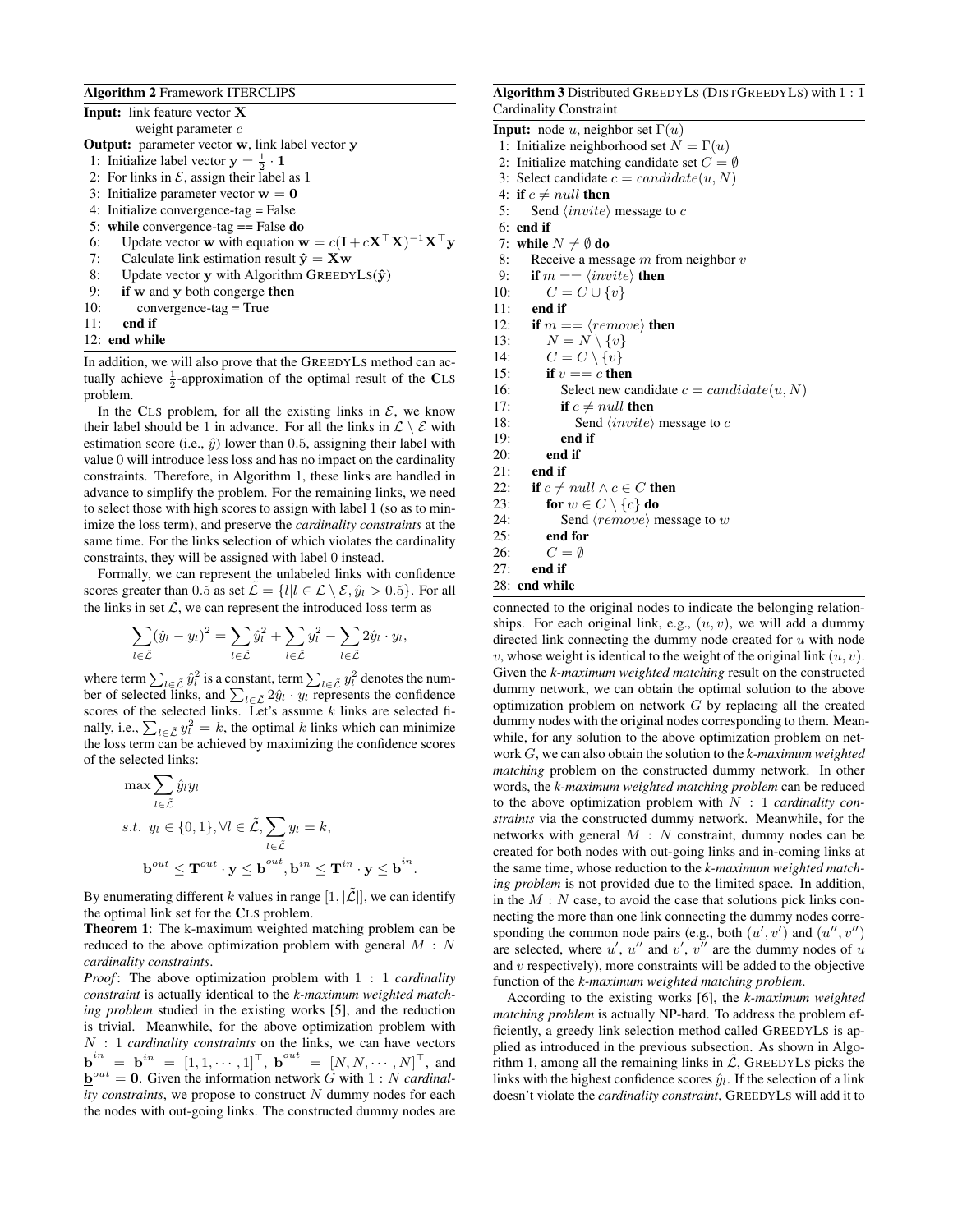#### Algorithm 2 Framework ITERCLIPS

| <b>Input:</b> link feature vector <b>X</b>                                                                                             |
|----------------------------------------------------------------------------------------------------------------------------------------|
| weight parameter $c$                                                                                                                   |
| <b>Output:</b> parameter vector w, link label vector y                                                                                 |
| 1: Initialize label vector $y = \frac{1}{2} \cdot 1$                                                                                   |
| 2: For links in $\mathcal E$ , assign their label as 1                                                                                 |
| 3: Initialize parameter vector $w = 0$                                                                                                 |
| 4: Initialize convergence-tag $=$ False                                                                                                |
| 5: while convergence-tag $==$ False do                                                                                                 |
| Update vector <b>w</b> with equation $\mathbf{w} = c(\mathbf{I} + c\mathbf{X}^{\top}\mathbf{X})^{-1}\mathbf{X}^{\top}\mathbf{y}$<br>6: |
| 7:<br>Calculate link estimation result $\hat{\mathbf{v}} = \mathbf{X}\mathbf{w}$                                                       |
| Update vector y with Algorithm GREEDYLS $(\hat{y})$<br>8:                                                                              |
| if w and y both congerge then<br>9:                                                                                                    |
| 10:<br>$convergence-tag = True$                                                                                                        |
| 11:<br>end if                                                                                                                          |
| 12: end while                                                                                                                          |

In addition, we will also prove that the GREEDYLS method can actually achieve  $\frac{1}{2}$ -approximation of the optimal result of the CLS problem.

In the CLS problem, for all the existing links in  $\mathcal{E}$ , we know their label should be 1 in advance. For all the links in  $\mathcal{L} \setminus \mathcal{E}$  with estimation score (i.e.,  $\hat{y}$ ) lower than 0.5, assigning their label with value 0 will introduce less loss and has no impact on the cardinality constraints. Therefore, in Algorithm 1, these links are handled in advance to simplify the problem. For the remaining links, we need to select those with high scores to assign with label 1 (so as to minimize the loss term), and preserve the *cardinality constraints* at the same time. For the links selection of which violates the cardinality constraints, they will be assigned with label 0 instead.

Formally, we can represent the unlabeled links with confidence scores greater than 0.5 as set  $\mathcal{L} = \{l | l \in \mathcal{L} \setminus \mathcal{E}, \hat{y}_l > 0.5\}$ . For all the links in set  $\tilde{\mathcal{L}}$ , we can represent the introduced loss term as

$$
\sum_{l \in \tilde{\mathcal{L}}} (\hat{y}_l - y_l)^2 = \sum_{l \in \tilde{\mathcal{L}}} \hat{y}_l^2 + \sum_{l \in \tilde{\mathcal{L}}} y_l^2 - \sum_{l \in \tilde{\mathcal{L}}} 2\hat{y}_l \cdot y_l,
$$

where term  $\sum_{l \in \tilde{\mathcal{L}}} \hat{y}_l^2$  is a constant, term  $\sum_{l \in \tilde{\mathcal{L}}} y_l^2$  denotes the number of selected links, and  $\sum_{l \in \tilde{\mathcal{L}}} 2\hat{y}_l \cdot y_l$  represents the confidence scores of the selected links. Let's assume  $k$  links are selected finally, i.e.,  $\sum_{l \in \tilde{\mathcal{L}}} y_l^2 = k$ , the optimal k links which can minimize the loss term can be achieved by maximizing the confidence scores of the selected links:

$$
\max \sum_{l \in \tilde{\mathcal{L}}} \hat{y}_l y_l
$$
  
s.t.  $y_l \in \{0, 1\}, \forall l \in \tilde{\mathcal{L}}, \sum_{l \in \tilde{\mathcal{L}}} y_l = k,$   

$$
\underline{\mathbf{b}}^{out} \leq \mathbf{T}^{out} \cdot \mathbf{y} \leq \overline{\mathbf{b}}^{out}, \underline{\mathbf{b}}^{in} \leq \mathbf{T}^{in} \cdot \mathbf{y} \leq \overline{\mathbf{b}}^{in}.
$$

By enumerating different k values in range  $[1, |\tilde{\mathcal{L}}|]$ , we can identify the optimal link set for the CLS problem.

Theorem 1: The k-maximum weighted matching problem can be reduced to the above optimization problem with general  $M : N$ *cardinality constraints*.

*Proof* : The above optimization problem with 1 : 1 *cardinality constraint* is actually identical to the *k-maximum weighted matching problem* studied in the existing works [5], and the reduction is trivial. Meanwhile, for the above optimization problem with N : 1 *cardinality constraints* on the links, we can have vectors  $\overline{\mathbf{b}}^{in}$  =  $\underline{\mathbf{b}}^{in}$  =  $[1,1,\cdots,1]^{\top}$ ,  $\overline{\mathbf{b}}^{out}$  =  $[N, N, \cdots, N]^{\top}$ , and  $\underline{\mathbf{b}}^{out} = \mathbf{0}$ . Given the information network G with  $1 : N$  *cardinal*- $$ the nodes with out-going links. The constructed dummy nodes are

#### Algorithm 3 Distributed GREEDYLS (DISTGREEDYLS) with 1 : 1 Cardinality Constraint

**Input:** node u, neighbor set  $\Gamma(u)$ 

- 1: Initialize neighborhood set  $N = \Gamma(u)$
- 2: Initialize matching candidate set  $C = \emptyset$
- 3: Select candidate  $c = candidate(u, N)$
- 4: if  $c \neq null$  then
- 5: Send  $\langle invite \rangle$  message to c
- 6: end if
- 7: while  $N \neq \emptyset$  do
- 8: Receive a message  $m$  from neighbor  $v$
- 9: if  $m = \langle invite \rangle$  then
- 10:  $C = C \cup \{v\}$
- 11: end if
- 12: if  $m = \langle remove \rangle$  then
- 13:  $N = N \setminus \{v\}$
- 14:  $C = C \setminus \{v\}$
- 15: if  $v == c$  then
- 16: Select new candidate  $c = candidate(u, N)$
- 17: if  $c \neq null$  then
- 18: Send  $\langle invite \rangle$  message to c
- 19: end if
- 20: end if
- 21: end if
- 22: if  $c \neq null \land c \in C$  then
- 23: for  $w \in C \setminus \{c\}$  do
- 24: Send  $\langle remove \rangle$  message to w
- 25: end for
- 26:  $C = \emptyset$
- 27: end if
- 28: end while

connected to the original nodes to indicate the belonging relationships. For each original link, e.g.,  $(u, v)$ , we will add a dummy directed link connecting the dummy node created for  $u$  with node v, whose weight is identical to the weight of the original link  $(u, v)$ . Given the *k-maximum weighted matching* result on the constructed dummy network, we can obtain the optimal solution to the above optimization problem on network  $G$  by replacing all the created dummy nodes with the original nodes corresponding to them. Meanwhile, for any solution to the above optimization problem on network G, we can also obtain the solution to the *k-maximum weighted matching* problem on the constructed dummy network. In other words, the *k-maximum weighted matching problem* can be reduced to the above optimization problem with N : 1 *cardinality constraints* via the constructed dummy network. Meanwhile, for the networks with general  $M : N$  constraint, dummy nodes can be created for both nodes with out-going links and in-coming links at the same time, whose reduction to the *k-maximum weighted matching problem* is not provided due to the limited space. In addition, in the  $M : N$  case, to avoid the case that solutions pick links connecting the more than one link connecting the dummy nodes corresponding the common node pairs (e.g., both  $(u', v')$  and  $(u'', v'')$ are selected, where  $u'$ ,  $u''$  and  $v'$ ,  $v''$  are the dummy nodes of u and  $v$  respectively), more constraints will be added to the objective function of the *k-maximum weighted matching problem*.

According to the existing works [6], the *k-maximum weighted matching problem* is actually NP-hard. To address the problem efficiently, a greedy link selection method called GREEDYLS is applied as introduced in the previous subsection. As shown in Algorithm 1, among all the remaining links in  $\mathcal{L}$ , GREEDYLS picks the links with the highest confidence scores  $\hat{y}_l$ . If the selection of a link doesn't violate the *cardinality constraint*, GREEDYLS will add it to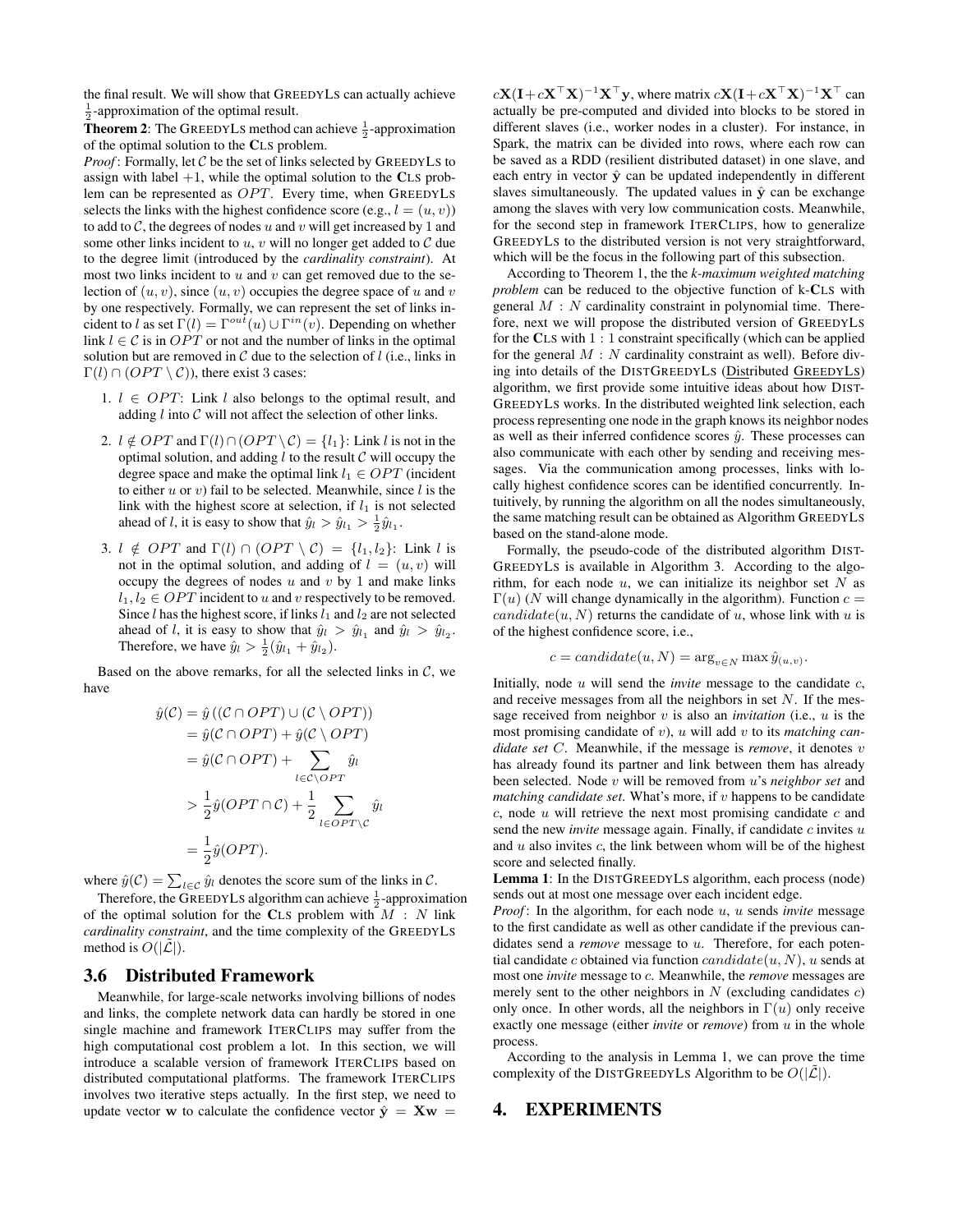the final result. We will show that GREEDYLS can actually achieve  $\frac{1}{2}$ -approximation of the optimal result.

**Theorem 2:** The GREEDYLS method can achieve  $\frac{1}{2}$ -approximation of the optimal solution to the CLS problem.

*Proof* : Formally, let C be the set of links selected by GREEDYLS to assign with label  $+1$ , while the optimal solution to the CLS problem can be represented as  $OPT$ . Every time, when GREEDYLS selects the links with the highest confidence score (e.g.,  $l = (u, v)$ ) to add to  $C$ , the degrees of nodes u and v will get increased by 1 and some other links incident to  $u, v$  will no longer get added to  $C$  due to the degree limit (introduced by the *cardinality constraint*). At most two links incident to  $u$  and  $v$  can get removed due to the selection of  $(u, v)$ , since  $(u, v)$  occupies the degree space of u and v by one respectively. Formally, we can represent the set of links incident to l as set  $\Gamma(l) = \Gamma^{out}(u) \cup \Gamma^{in}(v)$ . Depending on whether link  $l \in \mathcal{C}$  is in  $OPT$  or not and the number of links in the optimal solution but are removed in  $C$  due to the selection of  $l$  (i.e., links in  $\Gamma(l) \cap (OPT \setminus C)$ , there exist 3 cases:

- 1.  $l \in OPT$ : Link l also belongs to the optimal result, and adding  $l$  into  $C$  will not affect the selection of other links.
- 2.  $l \notin OPT$  and  $\Gamma(l) \cap (OPT \setminus C) = \{l_1\}$ : Link l is not in the optimal solution, and adding  $l$  to the result  $C$  will occupy the degree space and make the optimal link  $l_1 \in OPT$  (incident to either  $u$  or  $v$ ) fail to be selected. Meanwhile, since  $l$  is the link with the highest score at selection, if  $l_1$  is not selected ahead of *l*, it is easy to show that  $\hat{y}_l > \hat{y}_{l_1} > \frac{1}{2}\hat{y}_{l_1}$ .
- 3.  $l \notin OPT$  and  $\Gamma(l) \cap (OPT \setminus C) = \{l_1, l_2\}$ : Link l is not in the optimal solution, and adding of  $l = (u, v)$  will occupy the degrees of nodes  $u$  and  $v$  by 1 and make links  $l_1, l_2 \in OPT$  incident to u and v respectively to be removed. Since  $l$  has the highest score, if links  $l_1$  and  $l_2$  are not selected ahead of *l*, it is easy to show that  $\hat{y}_l > \hat{y}_{l_1}$  and  $\hat{y}_l > \hat{y}_{l_2}$ . Therefore, we have  $\hat{y}_l > \frac{1}{2}(\hat{y}_{l_1} + \hat{y}_{l_2})$ .

Based on the above remarks, for all the selected links in  $C$ , we have

$$
\hat{y}(\mathcal{C}) = \hat{y} \left( (\mathcal{C} \cap OPT) \cup (\mathcal{C} \setminus OPT) \right)
$$
\n
$$
= \hat{y}(\mathcal{C} \cap OPT) + \hat{y}(\mathcal{C} \setminus OPT)
$$
\n
$$
= \hat{y}(\mathcal{C} \cap OPT) + \sum_{l \in \mathcal{C} \setminus OPT} \hat{y}_l
$$
\n
$$
> \frac{1}{2} \hat{y}(\mathcal{OPT} \cap \mathcal{C}) + \frac{1}{2} \sum_{l \in OPT \setminus C} \hat{y}_l
$$
\n
$$
= \frac{1}{2} \hat{y}(\mathcal{OPT}).
$$

where  $\hat{y}(\mathcal{C}) = \sum_{l \in \mathcal{C}} \hat{y}_l$  denotes the score sum of the links in  $\mathcal{C}$ .

Therefore, the GREEDYLS algorithm can achieve  $\frac{1}{2}$ -approximation of the optimal solution for the CLS problem with  $M : N$  link *cardinality constraint*, and the time complexity of the GREEDYLS method is  $O(|\mathcal{L}|)$ .

### 3.6 Distributed Framework

Meanwhile, for large-scale networks involving billions of nodes and links, the complete network data can hardly be stored in one single machine and framework ITERCLIPS may suffer from the high computational cost problem a lot. In this section, we will introduce a scalable version of framework ITERCLIPS based on distributed computational platforms. The framework ITERCLIPS involves two iterative steps actually. In the first step, we need to update vector w to calculate the confidence vector  $\hat{y} = Xw$ 

 $c\mathbf{X}(\mathbf{I}+c\mathbf{X}^{\top}\mathbf{X})^{-1}\mathbf{X}^{\top}\mathbf{y}$ , where matrix  $c\mathbf{X}(\mathbf{I}+c\mathbf{X}^{\top}\mathbf{X})^{-1}\mathbf{X}^{\top}$  can actually be pre-computed and divided into blocks to be stored in different slaves (i.e., worker nodes in a cluster). For instance, in Spark, the matrix can be divided into rows, where each row can be saved as a RDD (resilient distributed dataset) in one slave, and each entry in vector  $\hat{y}$  can be updated independently in different slaves simultaneously. The updated values in  $\hat{y}$  can be exchange among the slaves with very low communication costs. Meanwhile, for the second step in framework ITERCLIPS, how to generalize GREEDYLS to the distributed version is not very straightforward, which will be the focus in the following part of this subsection.

According to Theorem 1, the the *k-maximum weighted matching problem* can be reduced to the objective function of k-CLS with general  $M : N$  cardinality constraint in polynomial time. Therefore, next we will propose the distributed version of GREEDYLS for the CLS with 1 : 1 constraint specifically (which can be applied for the general  $M : N$  cardinality constraint as well). Before diving into details of the DISTGREEDYLS (Distributed GREEDYLS) algorithm, we first provide some intuitive ideas about how DIST-GREEDYLS works. In the distributed weighted link selection, each process representing one node in the graph knows its neighbor nodes as well as their inferred confidence scores  $\hat{y}$ . These processes can also communicate with each other by sending and receiving messages. Via the communication among processes, links with locally highest confidence scores can be identified concurrently. Intuitively, by running the algorithm on all the nodes simultaneously, the same matching result can be obtained as Algorithm GREEDYLS based on the stand-alone mode.

Formally, the pseudo-code of the distributed algorithm DIST-GREEDYLS is available in Algorithm 3. According to the algorithm, for each node  $u$ , we can initialize its neighbor set  $N$  as  $\Gamma(u)$  (N will change dynamically in the algorithm). Function  $c =$ candidate(u, N) returns the candidate of u, whose link with u is of the highest confidence score, i.e.,

$$
c = candidate(u, N) = \arg_{v \in N} \max \hat{y}_{(u, v)}.
$$

Initially, node u will send the *invite* message to the candidate c, and receive messages from all the neighbors in set  $N$ . If the message received from neighbor v is also an *invitation* (i.e., u is the most promising candidate of v), u will add v to its *matching candidate set* C. Meanwhile, if the message is *remove*, it denotes v has already found its partner and link between them has already been selected. Node v will be removed from u's *neighbor set* and *matching candidate set.* What's more, if  $v$  happens to be candidate  $c$ , node  $u$  will retrieve the next most promising candidate  $c$  and send the new *invite* message again. Finally, if candidate  $c$  invites  $u$ and  $u$  also invites  $c$ , the link between whom will be of the highest score and selected finally.

Lemma 1: In the DISTGREEDYLS algorithm, each process (node) sends out at most one message over each incident edge.

*Proof*: In the algorithm, for each node u, u sends *invite* message to the first candidate as well as other candidate if the previous candidates send a *remove* message to u. Therefore, for each potential candidate c obtained via function  $candidate(u, N), u$  sends at most one *invite* message to c. Meanwhile, the *remove* messages are merely sent to the other neighbors in  $N$  (excluding candidates  $c$ ) only once. In other words, all the neighbors in  $\Gamma(u)$  only receive exactly one message (either *invite* or *remove*) from u in the whole process.

According to the analysis in Lemma 1, we can prove the time complexity of the DISTGREEDYLS Algorithm to be  $O(|\mathcal{L}|)$ .

### 4. EXPERIMENTS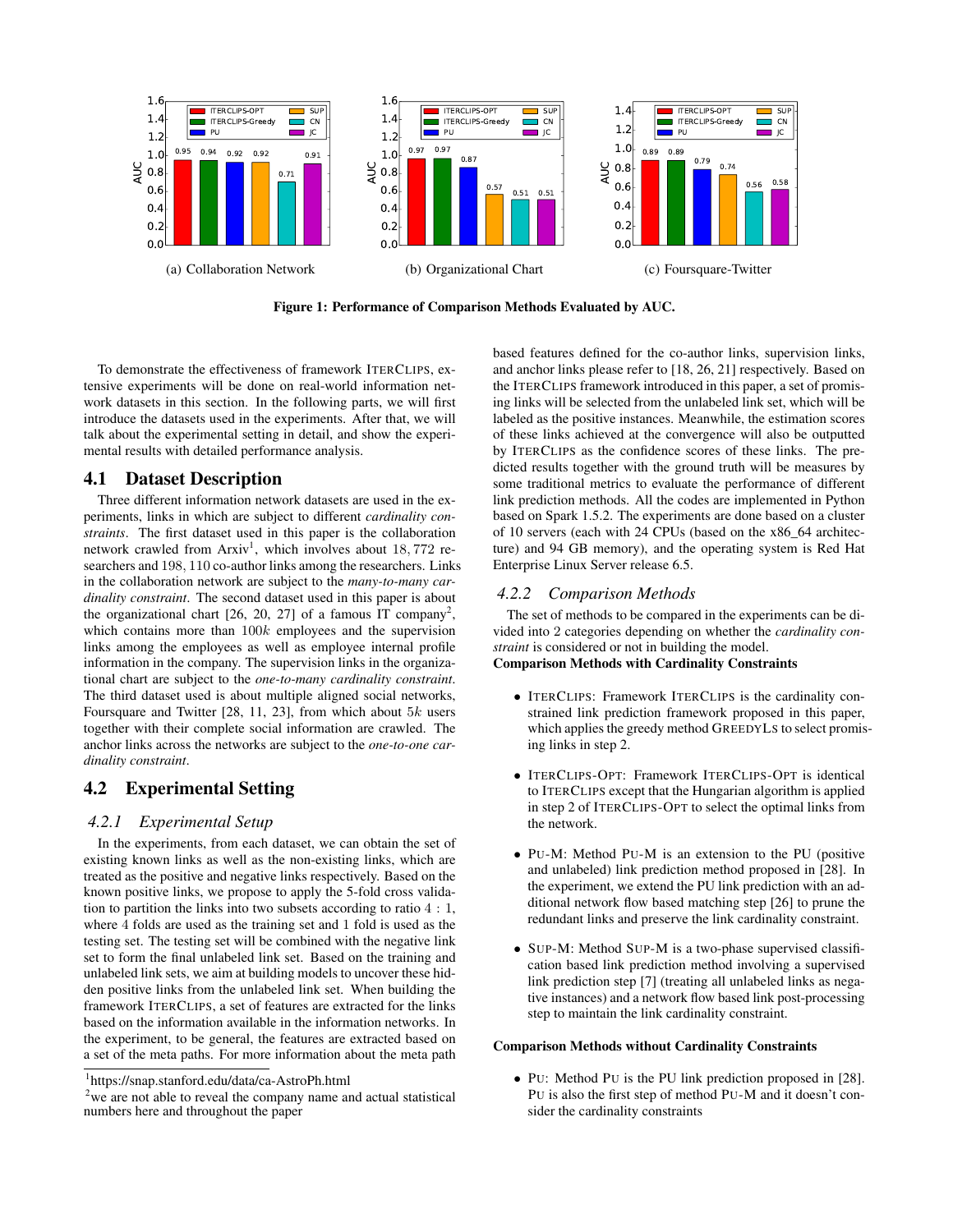

Figure 1: Performance of Comparison Methods Evaluated by AUC.

To demonstrate the effectiveness of framework ITERCLIPS, extensive experiments will be done on real-world information network datasets in this section. In the following parts, we will first introduce the datasets used in the experiments. After that, we will talk about the experimental setting in detail, and show the experimental results with detailed performance analysis.

### 4.1 Dataset Description

Three different information network datasets are used in the experiments, links in which are subject to different *cardinality constraints*. The first dataset used in this paper is the collaboration network crawled from  $Arxiv<sup>1</sup>$ , which involves about 18,772 researchers and 198, 110 co-author links among the researchers. Links in the collaboration network are subject to the *many-to-many cardinality constraint*. The second dataset used in this paper is about the organizational chart  $[26, 20, 27]$  of a famous IT company<sup>2</sup>, which contains more than  $100k$  employees and the supervision links among the employees as well as employee internal profile information in the company. The supervision links in the organizational chart are subject to the *one-to-many cardinality constraint*. The third dataset used is about multiple aligned social networks, Foursquare and Twitter [28, 11, 23], from which about  $5k$  users together with their complete social information are crawled. The anchor links across the networks are subject to the *one-to-one cardinality constraint*.

# 4.2 Experimental Setting

### *4.2.1 Experimental Setup*

In the experiments, from each dataset, we can obtain the set of existing known links as well as the non-existing links, which are treated as the positive and negative links respectively. Based on the known positive links, we propose to apply the 5-fold cross validation to partition the links into two subsets according to ratio 4 : 1, where 4 folds are used as the training set and 1 fold is used as the testing set. The testing set will be combined with the negative link set to form the final unlabeled link set. Based on the training and unlabeled link sets, we aim at building models to uncover these hidden positive links from the unlabeled link set. When building the framework ITERCLIPS, a set of features are extracted for the links based on the information available in the information networks. In the experiment, to be general, the features are extracted based on a set of the meta paths. For more information about the meta path based features defined for the co-author links, supervision links, and anchor links please refer to [18, 26, 21] respectively. Based on the ITERCLIPS framework introduced in this paper, a set of promising links will be selected from the unlabeled link set, which will be labeled as the positive instances. Meanwhile, the estimation scores of these links achieved at the convergence will also be outputted by ITERCLIPS as the confidence scores of these links. The predicted results together with the ground truth will be measures by some traditional metrics to evaluate the performance of different link prediction methods. All the codes are implemented in Python based on Spark 1.5.2. The experiments are done based on a cluster of 10 servers (each with 24 CPUs (based on the x86\_64 architecture) and 94 GB memory), and the operating system is Red Hat Enterprise Linux Server release 6.5.

### *4.2.2 Comparison Methods*

The set of methods to be compared in the experiments can be divided into 2 categories depending on whether the *cardinality constraint* is considered or not in building the model.

### Comparison Methods with Cardinality Constraints

- ITERCLIPS: Framework ITERCLIPS is the cardinality constrained link prediction framework proposed in this paper, which applies the greedy method GREEDYLS to select promising links in step 2.
- ITERCLIPS-OPT: Framework ITERCLIPS-OPT is identical to ITERCLIPS except that the Hungarian algorithm is applied in step 2 of ITERCLIPS-OPT to select the optimal links from the network.
- PU-M: Method PU-M is an extension to the PU (positive and unlabeled) link prediction method proposed in [28]. In the experiment, we extend the PU link prediction with an additional network flow based matching step [26] to prune the redundant links and preserve the link cardinality constraint.
- SUP-M: Method SUP-M is a two-phase supervised classification based link prediction method involving a supervised link prediction step [7] (treating all unlabeled links as negative instances) and a network flow based link post-processing step to maintain the link cardinality constraint.

#### Comparison Methods without Cardinality Constraints

• PU: Method PU is the PU link prediction proposed in [28]. PU is also the first step of method PU-M and it doesn't consider the cardinality constraints

<sup>1</sup> https://snap.stanford.edu/data/ca-AstroPh.html

 $2$ we are not able to reveal the company name and actual statistical numbers here and throughout the paper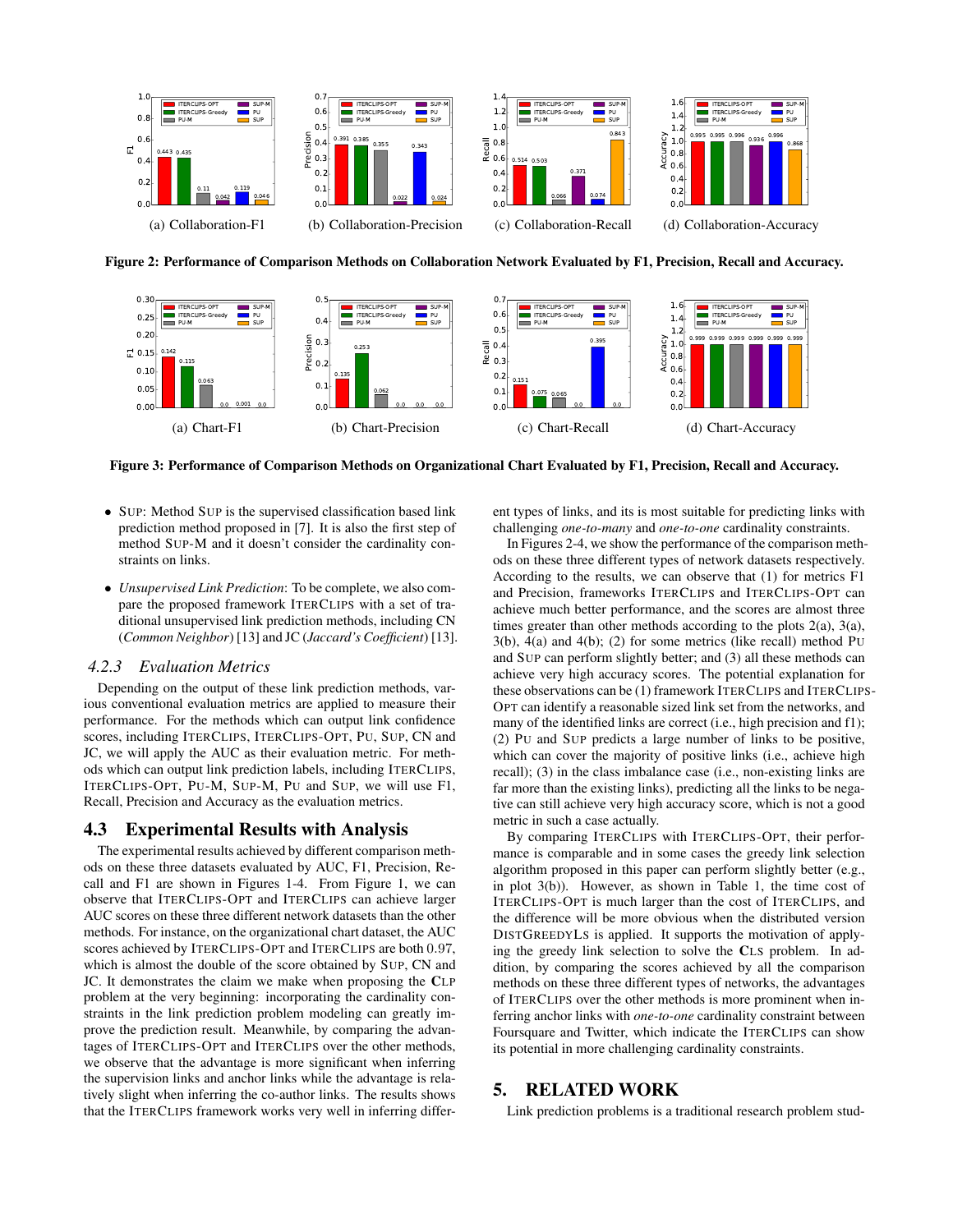

Figure 2: Performance of Comparison Methods on Collaboration Network Evaluated by F1, Precision, Recall and Accuracy.



Figure 3: Performance of Comparison Methods on Organizational Chart Evaluated by F1, Precision, Recall and Accuracy.

- SUP: Method SUP is the supervised classification based link prediction method proposed in [7]. It is also the first step of method SUP-M and it doesn't consider the cardinality constraints on links.
- *Unsupervised Link Prediction*: To be complete, we also compare the proposed framework ITERCLIPS with a set of traditional unsupervised link prediction methods, including CN (*Common Neighbor*) [13] and JC (*Jaccard's Coefficient*) [13].

# *4.2.3 Evaluation Metrics*

Depending on the output of these link prediction methods, various conventional evaluation metrics are applied to measure their performance. For the methods which can output link confidence scores, including ITERCLIPS, ITERCLIPS-OPT, PU, SUP, CN and JC, we will apply the AUC as their evaluation metric. For methods which can output link prediction labels, including ITERCLIPS, ITERCLIPS-OPT, PU-M, SUP-M, PU and SUP, we will use F1, Recall, Precision and Accuracy as the evaluation metrics.

# 4.3 Experimental Results with Analysis

The experimental results achieved by different comparison methods on these three datasets evaluated by AUC, F1, Precision, Recall and F1 are shown in Figures 1-4. From Figure 1, we can observe that ITERCLIPS-OPT and ITERCLIPS can achieve larger AUC scores on these three different network datasets than the other methods. For instance, on the organizational chart dataset, the AUC scores achieved by ITERCLIPS-OPT and ITERCLIPS are both 0.97, which is almost the double of the score obtained by SUP, CN and JC. It demonstrates the claim we make when proposing the CLP problem at the very beginning: incorporating the cardinality constraints in the link prediction problem modeling can greatly improve the prediction result. Meanwhile, by comparing the advantages of ITERCLIPS-OPT and ITERCLIPS over the other methods, we observe that the advantage is more significant when inferring the supervision links and anchor links while the advantage is relatively slight when inferring the co-author links. The results shows that the ITERCLIPS framework works very well in inferring different types of links, and its is most suitable for predicting links with challenging *one-to-many* and *one-to-one* cardinality constraints.

In Figures 2-4, we show the performance of the comparison methods on these three different types of network datasets respectively. According to the results, we can observe that (1) for metrics F1 and Precision, frameworks ITERCLIPS and ITERCLIPS-OPT can achieve much better performance, and the scores are almost three times greater than other methods according to the plots 2(a), 3(a), 3(b), 4(a) and 4(b); (2) for some metrics (like recall) method PU and SUP can perform slightly better; and (3) all these methods can achieve very high accuracy scores. The potential explanation for these observations can be (1) framework ITERCLIPS and ITERCLIPS-OPT can identify a reasonable sized link set from the networks, and many of the identified links are correct (i.e., high precision and f1); (2) PU and SUP predicts a large number of links to be positive, which can cover the majority of positive links (i.e., achieve high recall); (3) in the class imbalance case (i.e., non-existing links are far more than the existing links), predicting all the links to be negative can still achieve very high accuracy score, which is not a good metric in such a case actually.

By comparing ITERCLIPS with ITERCLIPS-OPT, their performance is comparable and in some cases the greedy link selection algorithm proposed in this paper can perform slightly better (e.g., in plot 3(b)). However, as shown in Table 1, the time cost of ITERCLIPS-OPT is much larger than the cost of ITERCLIPS, and the difference will be more obvious when the distributed version DISTGREEDYLS is applied. It supports the motivation of applying the greedy link selection to solve the CLS problem. In addition, by comparing the scores achieved by all the comparison methods on these three different types of networks, the advantages of ITERCLIPS over the other methods is more prominent when inferring anchor links with *one-to-one* cardinality constraint between Foursquare and Twitter, which indicate the ITERCLIPS can show its potential in more challenging cardinality constraints.

# 5. RELATED WORK

Link prediction problems is a traditional research problem stud-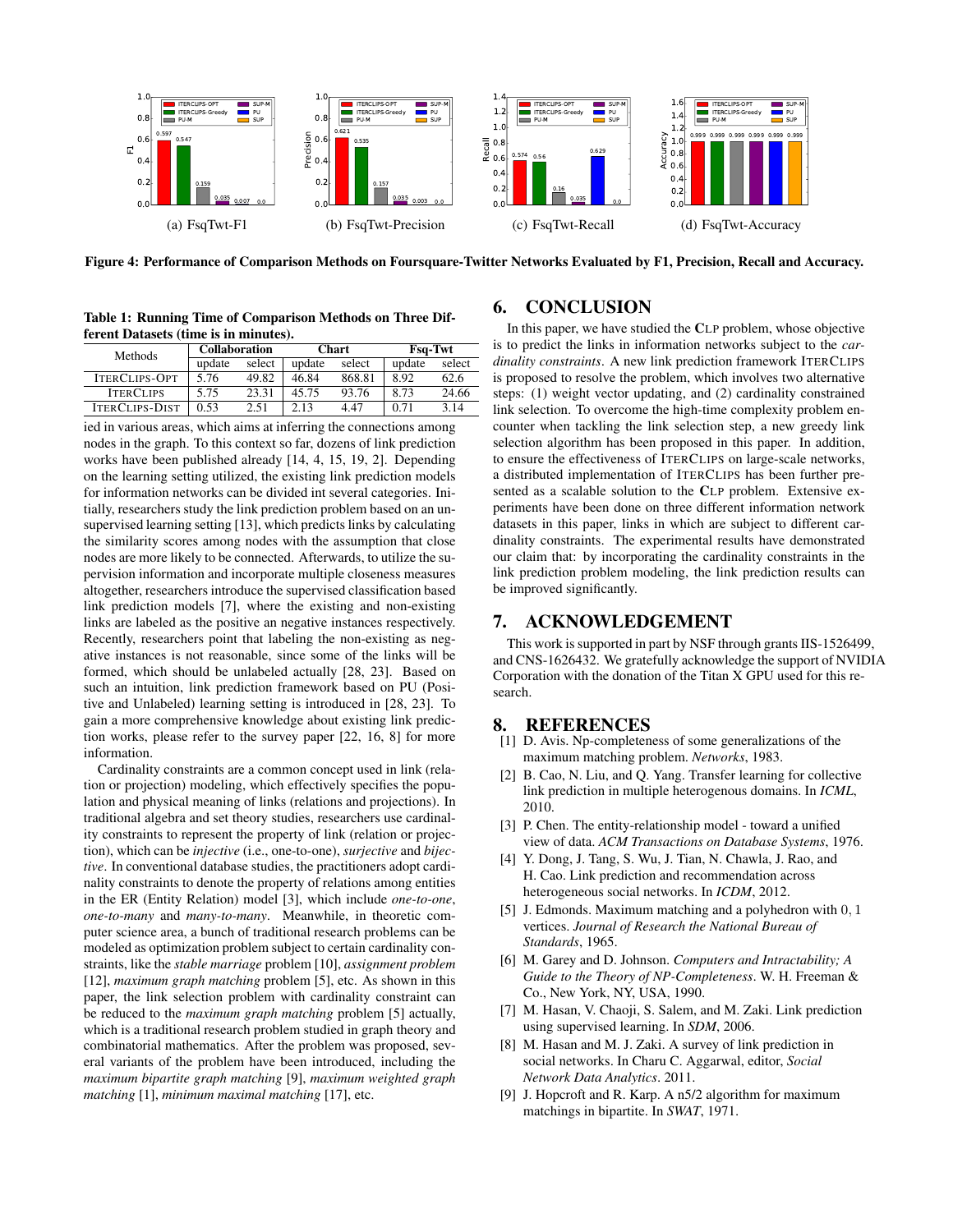

Figure 4: Performance of Comparison Methods on Foursquare-Twitter Networks Evaluated by F1, Precision, Recall and Accuracy.

Table 1: Running Time of Comparison Methods on Three Different Datasets (time is in minutes).

| <b>Methods</b>        | <b>Collaboration</b> |        | <b>Chart</b> |        | Fsq-Twt |        |
|-----------------------|----------------------|--------|--------------|--------|---------|--------|
|                       | update               | select | update       | select | update  | select |
| <b>ITERCLIPS-OPT</b>  | 5.76                 | 49.82  | 46.84        | 868.81 | 8.92    | 62.6   |
| <b>ITERCLIPS</b>      | 5.75                 | 23.31  | 45.75        | 93.76  | 8.73    | 24.66  |
| <b>ITERCLIPS-DIST</b> | 0.53                 | 2.51   | 2.13         | 4.47   | 0.71    | 3.14   |

ied in various areas, which aims at inferring the connections among nodes in the graph. To this context so far, dozens of link prediction works have been published already [14, 4, 15, 19, 2]. Depending on the learning setting utilized, the existing link prediction models for information networks can be divided int several categories. Initially, researchers study the link prediction problem based on an unsupervised learning setting [13], which predicts links by calculating the similarity scores among nodes with the assumption that close nodes are more likely to be connected. Afterwards, to utilize the supervision information and incorporate multiple closeness measures altogether, researchers introduce the supervised classification based link prediction models [7], where the existing and non-existing links are labeled as the positive an negative instances respectively. Recently, researchers point that labeling the non-existing as negative instances is not reasonable, since some of the links will be formed, which should be unlabeled actually [28, 23]. Based on such an intuition, link prediction framework based on PU (Positive and Unlabeled) learning setting is introduced in [28, 23]. To gain a more comprehensive knowledge about existing link prediction works, please refer to the survey paper [22, 16, 8] for more information.

Cardinality constraints are a common concept used in link (relation or projection) modeling, which effectively specifies the population and physical meaning of links (relations and projections). In traditional algebra and set theory studies, researchers use cardinality constraints to represent the property of link (relation or projection), which can be *injective* (i.e., one-to-one), *surjective* and *bijective*. In conventional database studies, the practitioners adopt cardinality constraints to denote the property of relations among entities in the ER (Entity Relation) model [3], which include *one-to-one*, *one-to-many* and *many-to-many*. Meanwhile, in theoretic computer science area, a bunch of traditional research problems can be modeled as optimization problem subject to certain cardinality constraints, like the *stable marriage* problem [10], *assignment problem* [12], *maximum graph matching* problem [5], etc. As shown in this paper, the link selection problem with cardinality constraint can be reduced to the *maximum graph matching* problem [5] actually, which is a traditional research problem studied in graph theory and combinatorial mathematics. After the problem was proposed, several variants of the problem have been introduced, including the *maximum bipartite graph matching* [9], *maximum weighted graph matching* [1], *minimum maximal matching* [17], etc.

# 6. CONCLUSION

In this paper, we have studied the CLP problem, whose objective is to predict the links in information networks subject to the *cardinality constraints*. A new link prediction framework ITERCLIPS is proposed to resolve the problem, which involves two alternative steps: (1) weight vector updating, and (2) cardinality constrained link selection. To overcome the high-time complexity problem encounter when tackling the link selection step, a new greedy link selection algorithm has been proposed in this paper. In addition, to ensure the effectiveness of ITERCLIPS on large-scale networks, a distributed implementation of ITERCLIPS has been further presented as a scalable solution to the CLP problem. Extensive experiments have been done on three different information network datasets in this paper, links in which are subject to different cardinality constraints. The experimental results have demonstrated our claim that: by incorporating the cardinality constraints in the link prediction problem modeling, the link prediction results can be improved significantly.

## 7. ACKNOWLEDGEMENT

This work is supported in part by NSF through grants IIS-1526499, and CNS-1626432. We gratefully acknowledge the support of NVIDIA Corporation with the donation of the Titan X GPU used for this research.

### 8. REFERENCES

- [1] D. Avis. Np-completeness of some generalizations of the maximum matching problem. *Networks*, 1983.
- [2] B. Cao, N. Liu, and Q. Yang. Transfer learning for collective link prediction in multiple heterogenous domains. In *ICML*, 2010.
- [3] P. Chen. The entity-relationship model toward a unified view of data. *ACM Transactions on Database Systems*, 1976.
- [4] Y. Dong, J. Tang, S. Wu, J. Tian, N. Chawla, J. Rao, and H. Cao. Link prediction and recommendation across heterogeneous social networks. In *ICDM*, 2012.
- [5] J. Edmonds. Maximum matching and a polyhedron with 0, 1 vertices. *Journal of Research the National Bureau of Standards*, 1965.
- [6] M. Garey and D. Johnson. *Computers and Intractability; A Guide to the Theory of NP-Completeness*. W. H. Freeman & Co., New York, NY, USA, 1990.
- [7] M. Hasan, V. Chaoji, S. Salem, and M. Zaki. Link prediction using supervised learning. In *SDM*, 2006.
- [8] M. Hasan and M. J. Zaki. A survey of link prediction in social networks. In Charu C. Aggarwal, editor, *Social Network Data Analytics*. 2011.
- [9] J. Hopcroft and R. Karp. A n5/2 algorithm for maximum matchings in bipartite. In *SWAT*, 1971.